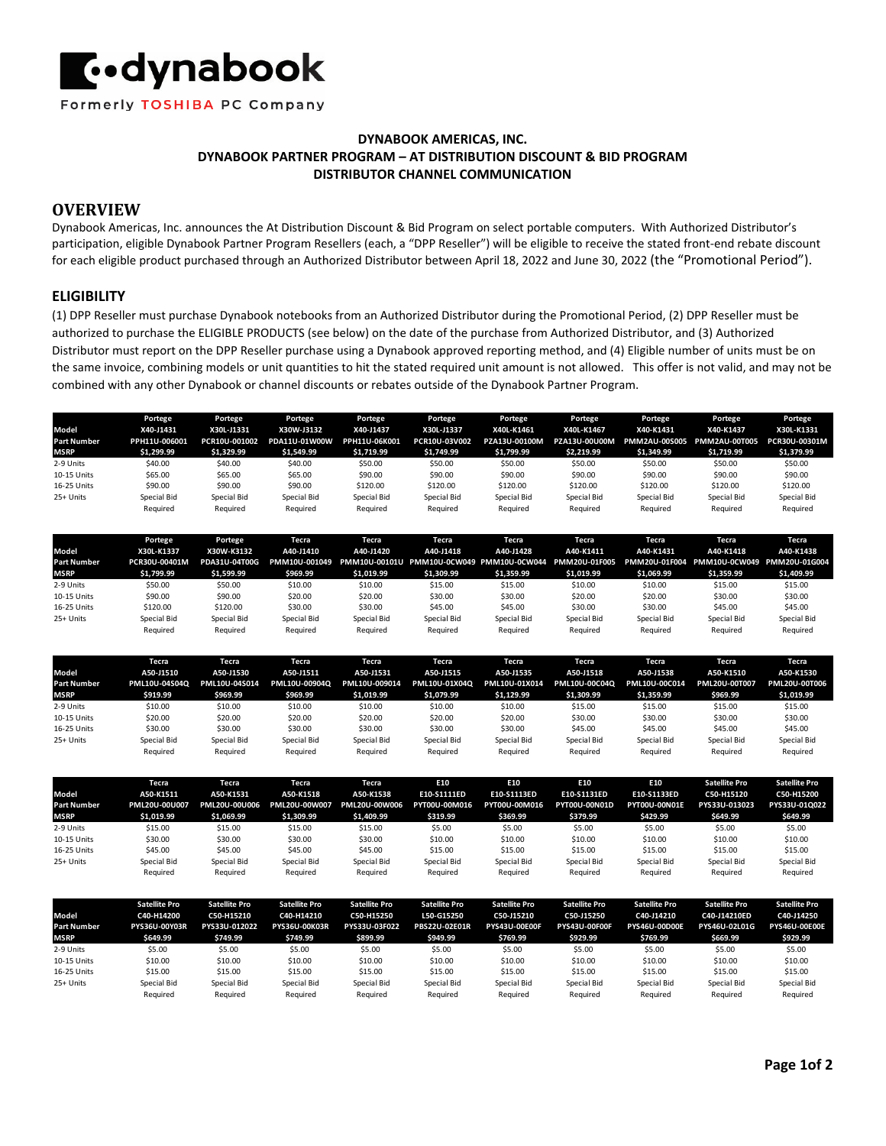

## **DYNABOOK AMERICAS, INC. DYNABOOK PARTNER PROGRAM – AT DISTRIBUTION DISCOUNT & BID PROGRAM DISTRIBUTOR CHANNEL COMMUNICATION**

# **OVERVIEW**

Dynabook Americas, Inc. announces the At Distribution Discount & Bid Program on select portable computers. With Authorized Distributor's participation, eligible Dynabook Partner Program Resellers (each, a "DPP Reseller") will be eligible to receive the stated front-end rebate discount for each eligible product purchased through an Authorized Distributor between April 18, 2022 and June 30, 2022 (the "Promotional Period").

### **ELIGIBILITY**

(1) DPP Reseller must purchase Dynabook notebooks from an Authorized Distributor during the Promotional Period, (2) DPP Reseller must be authorized to purchase the ELIGIBLE PRODUCTS (see below) on the date of the purchase from Authorized Distributor, and (3) Authorized Distributor must report on the DPP Reseller purchase using a Dynabook approved reporting method, and (4) Eligible number of units must be on the same invoice, combining models or unit quantities to hit the stated required unit amount is not allowed. This offer is not valid, and may not be combined with any other Dynabook or channel discounts or rebates outside of the Dynabook Partner Program.

|                    | Portege       | Portege       | Portege       | Portege       | Portege       | Portege       | Portege       | Portege       | Portege       | Portege       |
|--------------------|---------------|---------------|---------------|---------------|---------------|---------------|---------------|---------------|---------------|---------------|
| Model              | X40-J1431     | X30L-J1331    | X30W-J3132    | X40-J1437     | X30L-J1337    | X40L-K1461    | X40L-K1467    | X40-K1431     | X40-K1437     | X30L-K1331    |
| <b>Part Number</b> | PPH11U-006001 | PCR10U-001002 | PDA11U-01W00W | PPH11U-06K001 | PCR10U-03V002 | PZA13U-00100M | PZA13U-00U00M | PMM2AU-00S005 | PMM2AU-00T005 | PCR30U-00301M |
| <b>MSRP</b>        | \$1,299.99    | \$1,329.99    | \$1,549.99    | \$1.719.99    | \$1,749.99    | \$1,799.99    | \$2,219.99    | \$1.349.99    | \$1.719.99    | \$1,379.99    |
| 2-9 Units          | \$40.00       | \$40.00       | \$40.00       | \$50.00       | \$50.00       | \$50.00       | \$50.00       | \$50.00       | \$50.00       | \$50.00       |
| 10-15 Units        | \$65.00       | \$65.00       | \$65.00       | \$90.00       | \$90.00       | \$90.00       | \$90.00       | \$90.00       | \$90.00       | \$90.00       |
| 16-25 Units        | \$90.00       | \$90.00       | \$90.00       | \$120.00      | \$120.00      | \$120.00      | \$120.00      | \$120.00      | \$120.00      | \$120.00      |
| 25+ Units          | Special Bid   | Special Bid   | Special Bid   | Special Bid   | Special Bid   | Special Bid   | Special Bid   | Special Bid   | Special Bid   | Special Bid   |
|                    | Required      | Required      | Reauired      | Required      | Required      | Required      | Required      | Required      | Required      | Required      |

|                    | Portege       | Portege       | Tecra       | Tecra       | Tecra       | Tecra                                                                 | Tecra       | Tecra       | Tecra                                     | Tecra       |
|--------------------|---------------|---------------|-------------|-------------|-------------|-----------------------------------------------------------------------|-------------|-------------|-------------------------------------------|-------------|
| Model              | X30L-K1337    | X30W-K3132    | A40-J1410   | A40-J1420   | A40-J1418   | A40-J1428                                                             | A40-K1411   | A40-K1431   | A40-K1418                                 | A40-K1438   |
| <b>Part Number</b> | PCR30U-00401M | PDA31U-04T00G |             |             |             | PMM10U-001049 PMM10U-00101U PMM10U-0CW049 PMM10U-0CW044 PMM20U-01F005 |             |             | PMM20U-01F004 PMM10U-0CW049 PMM20U-01G004 |             |
|                    |               |               |             |             |             |                                                                       |             |             |                                           |             |
| <b>MSRP</b>        | \$1.799.99    | \$1.599.99    | \$969.99    | \$1.019.99  | \$1.309.99  | \$1.359.99                                                            | \$1.019.99  | \$1.069.99  | \$1,359.99                                | \$1,409.99  |
| 2-9 Units          | \$50.00       | \$50.00       | \$10.00     | \$10.00     | \$15.00     | \$15.00                                                               | \$10.00     | \$10.00     | \$15.00                                   | \$15.00     |
| 10-15 Units        | \$90.00       | \$90.00       | \$20.00     | \$20.00     | \$30.00     | \$30.00                                                               | \$20.00     | \$20.00     | \$30.00                                   | \$30.00     |
| 16-25 Units        | \$120.00      | \$120.00      | \$30.00     | \$30.00     | \$45.00     | \$45.00                                                               | \$30.00     | \$30.00     | \$45.00                                   | \$45.00     |
| 25+ Units          | Special Bid   | Special Bid   | Special Bid | Special Bid | Special Bid | Special Bid                                                           | Special Bid | Special Bid | Special Bid                               | Special Bid |
|                    | Required      | Required      | Required    | Required    | Required    | Required                                                              | Required    | Required    | Reauired                                  | Reauired    |

|                    | Tecra         | Tecra         | Tecra         | Tecra         | Tecra         | Tecra         | Tecra         | Tecra         | Tecra         | Tecra         |
|--------------------|---------------|---------------|---------------|---------------|---------------|---------------|---------------|---------------|---------------|---------------|
| Model              | A50-J1510     | A50-J1530     | A50-J1511     | A50-J1531     | A50-J1515     | A50-J1535     | A50-J1518     | A50-J1538     | A50-K1510     | A50-K1530     |
| <b>Part Number</b> | PML10U-04S04Q | PML10U-04S014 | PML10U-00904Q | PML10U-009014 | PML10U-01X04Q | PML10U-01X014 | PML10U-00C04Q | PML10U-00C014 | PML20U-00T007 | PML20U-00T006 |
| <b>MSRP</b>        | \$919.99      | \$969.99      | \$969.99      | \$1,019.99    | \$1,079.99    | \$1,129.99    | \$1,309.99    | \$1,359.99    | \$969.99      | \$1,019.99    |
| 2-9 Units          | \$10.00       | \$10.00       | \$10.00       | \$10.00       | \$10.00       | \$10.00       | \$15.00       | \$15.00       | \$15.00       | \$15.00       |
| 10-15 Units        | \$20.00       | \$20.00       | \$20.00       | \$20.00       | \$20.00       | \$20.00       | \$30.00       | \$30.00       | \$30.00       | \$30.00       |
| 16-25 Units        | \$30.00       | \$30.00       | \$30.00       | \$30.00       | \$30.00       | \$30.00       | \$45.00       | \$45.00       | \$45.00       | \$45.00       |
| 25+ Units          | Special Bid   | Special Bid   | Special Bid   | Special Bid   | Special Bid   | Special Bid   | Special Bid   | Special Bid   | Special Bid   | Special Bid   |
|                    | Required      | Required      | Required      | Required      | Required      | Required      | Required      | Required      | Reauired      | Required      |

|                    | Tecra         | Tecra         | Tecra         | Tecra         | E10           | E10           | E10           | E10           | <b>Satellite Pro</b> | <b>Satellite Pro</b> |
|--------------------|---------------|---------------|---------------|---------------|---------------|---------------|---------------|---------------|----------------------|----------------------|
| Model              | A50-K1511     | A50-K1531     | A50-K1518     | A50-K1538     | E10-S1111ED   | E10-S1113ED   | E10-S1131ED   | E10-S1133ED   | C50-H15120           | C50-H15200           |
| <b>Part Number</b> | PML20U-00U007 | PML20U-00U006 | PML20U-00W007 | PML20U-00W006 | PYT00U-00M016 | PYT00U-00M016 | PYT00U-00N01D | PYT00U-00N01E | PYS33U-013023        | PYS33U-01Q022        |
| <b>MSRP</b>        | \$1,019.99    | \$1,069.99    | \$1,309.99    | \$1,409.99    | \$319.99      | \$369.99      | \$379.99      | \$429.99      | \$649.99             | \$649.99             |
| 2-9 Units          | \$15.00       | \$15.00       | \$15.00       | \$15.00       | \$5.00        | \$5.00        | \$5.00        | \$5.00        | \$5.00               | \$5.00               |
| 10-15 Units        | \$30.00       | \$30.00       | \$30.00       | \$30.00       | \$10.00       | \$10.00       | \$10.00       | \$10.00       | \$10.00              | \$10.00              |
| 16-25 Units        | \$45.00       | \$45.00       | \$45.00       | \$45.00       | \$15.00       | \$15.00       | \$15.00       | \$15.00       | \$15.00              | \$15.00              |
| 25+ Units          | Special Bid   | Special Bid   | Special Bid   | Special Bid   | Special Bid   | Special Bid   | Special Bid   | Special Bid   | Special Bid          | Special Bid          |
|                    | Required      | Required      | Required      | Required      | Required      | Required      | Required      | Required      | Required             | Required             |

| Model              | <b>Satellite Pro</b><br>C40-H14200 | <b>Satellite Pro</b><br>C50-H15210 | <b>Satellite Pro</b><br>C40-H14210 | <b>Satellite Pro</b><br>C50-H15250 | <b>Satellite Pro</b><br>L50-G15250 | <b>Satellite Pro</b><br>C50-J15210 | <b>Satellite Pro</b><br>C50-J15250 | <b>Satellite Pro</b><br>C40-J14210 | <b>Satellite Pro</b><br>C40-J14210ED | <b>Satellite Pro</b><br>C40-J14250 |
|--------------------|------------------------------------|------------------------------------|------------------------------------|------------------------------------|------------------------------------|------------------------------------|------------------------------------|------------------------------------|--------------------------------------|------------------------------------|
| <b>Part Number</b> | PYS36U-00Y03R                      | PYS33U-012022                      | <b>PYS36U-00K03R</b>               | PYS33U-03F022                      | <b>PBS22U-02E01R</b>               | <b>PYS43U-00E00F</b>               | <b>PYS43U-00F00F</b>               | <b>PYS46U-00D00E</b>               | PYS46U-02L01G                        | <b>PYS46U-00E00E</b>               |
| <b>MSRP</b>        | \$649.99                           | \$749.99                           | \$749.99                           | \$899.99                           | \$949.99                           | \$769.99                           | \$929.99                           | \$769.99                           | \$669.99                             | \$929.99                           |
| 2-9 Units          | \$5.00                             | \$5.00                             | \$5.00                             | \$5.00                             | \$5.00                             | \$5.00                             | \$5.00                             | \$5.00                             | \$5.00                               | \$5.00                             |
| 10-15 Units        | \$10.00                            | \$10.00                            | \$10.00                            | \$10.00                            | \$10.00                            | \$10.00                            | \$10.00                            | \$10.00                            | \$10.00                              | \$10.00                            |
| 16-25 Units        | \$15.00                            | \$15.00                            | \$15.00                            | \$15.00                            | \$15.00                            | \$15.00                            | \$15.00                            | \$15.00                            | \$15.00                              | \$15.00                            |
| 25+ Units          | Special Bid                        | Special Bid                        | Special Bid                        | Special Bid                        | Special Bid                        | Special Bid                        | Special Bid                        | Special Bid                        | Special Bid                          | Special Bid                        |
|                    | Required                           | Required                           | Required                           | Required                           | Required                           | Required                           | Required                           | Required                           | Required                             | Required                           |